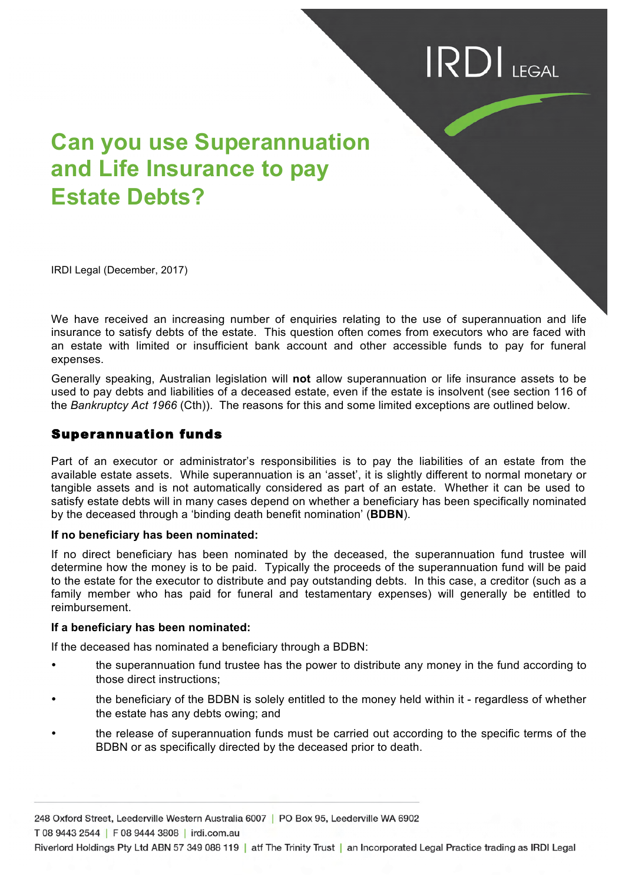# $\textsf{IRDI}_{\textsf{IEGAL}}$

# **Can you use Superannuation and Life Insurance to pay Estate Debts?**

IRDI Legal (December, 2017)

We have received an increasing number of enquiries relating to the use of superannuation and life insurance to satisfy debts of the estate. This question often comes from executors who are faced with an estate with limited or insufficient bank account and other accessible funds to pay for funeral expenses.

Generally speaking, Australian legislation will **not** allow superannuation or life insurance assets to be used to pay debts and liabilities of a deceased estate, even if the estate is insolvent (see section 116 of the *Bankruptcy Act 1966* (Cth)). The reasons for this and some limited exceptions are outlined below.

### Superannuation funds

Part of an executor or administrator's responsibilities is to pay the liabilities of an estate from the available estate assets. While superannuation is an 'asset', it is slightly different to normal monetary or tangible assets and is not automatically considered as part of an estate. Whether it can be used to satisfy estate debts will in many cases depend on whether a beneficiary has been specifically nominated by the deceased through a 'binding death benefit nomination' (**BDBN**).

#### **If no beneficiary has been nominated:**

If no direct beneficiary has been nominated by the deceased, the superannuation fund trustee will determine how the money is to be paid. Typically the proceeds of the superannuation fund will be paid to the estate for the executor to distribute and pay outstanding debts. In this case, a creditor (such as a family member who has paid for funeral and testamentary expenses) will generally be entitled to reimbursement.

#### **If a beneficiary has been nominated:**

If the deceased has nominated a beneficiary through a BDBN:

- the superannuation fund trustee has the power to distribute any money in the fund according to those direct instructions;
- the beneficiary of the BDBN is solely entitled to the money held within it regardless of whether the estate has any debts owing; and
- the release of superannuation funds must be carried out according to the specific terms of the BDBN or as specifically directed by the deceased prior to death.